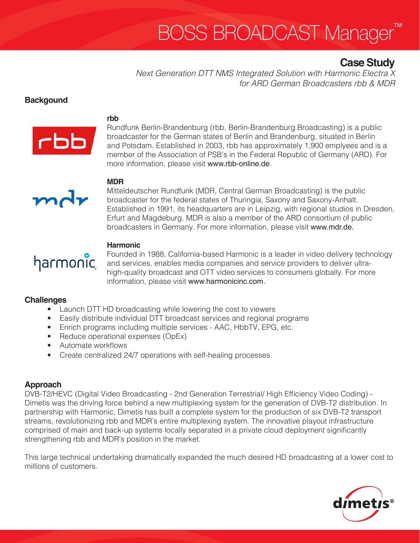# **BOSS BROADCAST Manager**

# **Case Study**

*Next Generation DTT NMS Integrated Solution with Harmonic Electra X for ARD German Broadcasters rbb & MDR*

### **Backgound**



mdr

#### **rbb**

Rundfunk Berlin-Brandenburg (rbb, Berlin-Brandenburg Broadcasting) is a public broadcaster for the German states of Berlin and Brandenburg, situated in Berlin and Potsdam. Established in 2003, rbb has approximately 1,900 emplyees and is a member of the Association of PSB's in the Federal Republic of Germany (ARD). For more information, please visit www.rbb-online.de.

# **MDR**

Mitteldeutscher Rundfunk (MDR, Central German Broadcasting) is the public broadcaster for the federal states of Thuringia, Saxony and Saxony-Anhalt. Established in 1991, its headquarters are in Leipzig, with regional studios in Dresden, Erfurt and Magdeburg. MDR is also a member of the ARD consortium of public broadcasters in Germany. For more information, please visit www.mdr.de.



#### **Harmonic**

Founded in 1988, California-based Harmonic is a leader in video delivery technology and services, enables media companies and service providers to deliver ultrahigh-quality broadcast and OTT video services to consumers globally. For more information, please visit www.harmonicinc.com.

#### **Challenges**

- Launch DTT HD broadcasting while lowering the cost to viewers
- Easily distribute individual DTT broadcast services and regional programs
- Enrich programs including multiple services AAC, HbbTV, EPG, etc.
- Reduce operational expenses (OpEx)
- Automate workflows
- Create centralized 24/7 operations with self-healing processes

#### **Approach**

DVB-T2/HEVC (Digital Video Broadcasting - 2nd Generation Terrestrial/ High Efficiency Video Coding) - Dimetis was the driving force behind a new multiplexing system for the generation of DVB-T2 distribution. In partnership with Harmonic, Dimetis has built a complete system for the production of six DVB-T2 transport streams, revolutionizing rbb and MDR's entire multiplexing system. The innovative playout infrastructure comprised of main and back-up systems locally separated in a private cloud deployment significantly strengthening rbb and MDR's position in the market.

This large technical undertaking dramatically expanded the much desired HD broadcasting at a lower cost to millions of customers.

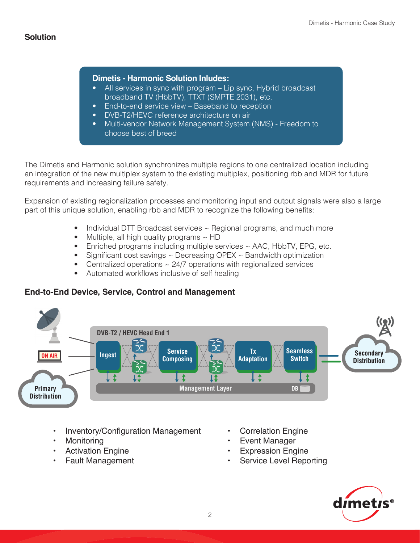#### **Dimetis - Harmonic Solution Inludes:**

- All services in sync with program Lip sync, Hybrid broadcast broadband TV (HbbTV), TTXT (SMPTE 2031), etc.
- End-to-end service view Baseband to reception
- DVB-T2/HEVC reference architecture on air
- Multi-vendor Network Management System (NMS) Freedom to choose best of breed

The Dimetis and Harmonic solution synchronizes multiple regions to one centralized location including an integration of the new multiplex system to the existing multiplex, positioning rbb and MDR for future requirements and increasing failure safety.

Expansion of existing regionalization processes and monitoring input and output signals were also a large part of this unique solution, enabling rbb and MDR to recognize the following benefits:

- Individual DTT Broadcast services  $\sim$  Regional programs, and much more
- Multiple, all high quality programs ~ HD
- Enriched programs including multiple services  $\sim$  AAC, HbbTV, EPG, etc.
- Significant cost savings ~ Decreasing OPEX ~ Bandwidth optimization
- Centralized operations  $\sim$  24/7 operations with regionalized services
- Automated workflows inclusive of self healing

## **End-to-End Device, Service, Control and Management**



- Inventory/Configuration Management
- **Monitoring**
- **Activation Engine**
- • Fault Management
- **Correlation Engine**
- **Event Manager**
- **Expression Engine**
- Service Level Reporting